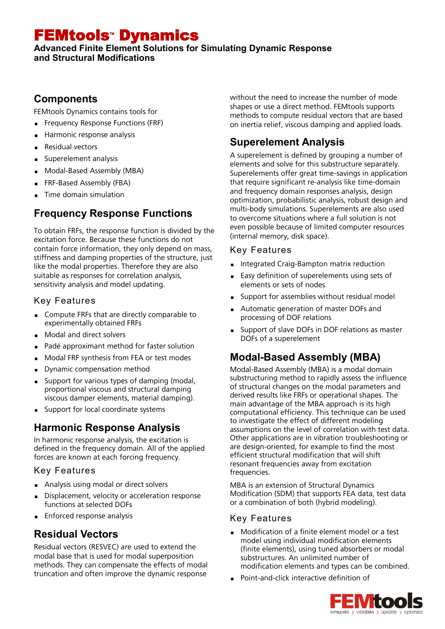# FEMtools Dynamics

**Advanced Finite Element Solutions for Simulating Dynamic Response and Structural Modifications**

## **Components**

FEMtools Dynamics contains tools for

- **Frequency Response Functions (FRF)**
- Harmonic response analysis
- **Residual vectors**
- Superelement analysis
- Modal-Based Assembly (MBA)
- **FRF-Based Assembly (FBA)**
- Time domain simulation

# **Frequency Response Functions**

To obtain FRFs, the response function is divided by the excitation force. Because these functions do not contain force information, they only depend on mass, stiffness and damping properties of the structure, just like the modal properties. Therefore they are also suitable as responses for correlation analysis, sensitivity analysis and model updating.

#### Key Features

- **Compute FRFs that are directly comparable to** experimentally obtained FRFs
- Modal and direct solvers
- Padé approximant method for faster solution
- Modal FRF synthesis from FEA or test modes
- Dynamic compensation method
- Support for various types of damping (modal, proportional viscous and structural damping viscous damper elements, material damping).
- **Support for local coordinate systems**

## **Harmonic Response Analysis**

In harmonic response analysis, the excitation is defined in the frequency domain. All of the applied forces are known at each forcing frequency.

#### Key Features

- Analysis using modal or direct solvers
- Displacement, velocity or acceleration response functions at selected DOFs
- **Enforced response analysis**

# **Residual Vectors**

Residual vectors (RESVEC) are used to extend the modal base that is used for modal superposition methods. They can compensate the effects of modal truncation and often improve the dynamic response

without the need to increase the number of mode shapes or use a direct method. FEMtools supports methods to compute residual vectors that are based on inertia relief, viscous damping and applied loads.

# **Superelement Analysis**

A superelement is defined by grouping a number of elements and solve for this substructure separately. Superelements offer great time-savings in application that require significant re-analysis like time-domain and frequency domain responses analysis, design optimization, probabilistic analysis, robust design and multi-body simulations. Superelements are also used to overcome situations where a full solution is not even possible because of limited computer resources (internal memory, disk space).

#### Key Features

- **Integrated Craig-Bampton matrix reduction**
- Easy definition of superelements using sets of elements or sets of nodes
- Support for assemblies without residual model
- Automatic generation of master DOFs and processing of DOF relations
- Support of slave DOFs in DOF relations as master DOFs of a superelement

# **Modal-Based Assembly (MBA)**

Modal-Based Assembly (MBA) is a modal domain substructuring method to rapidly assess the influence of structural changes on the modal parameters and derived results like FRFs or operational shapes. The main advantage of the MBA approach is its high computational efficiency. This technique can be used to investigate the effect of different modeling assumptions on the level of correlation with test data. Other applications are in vibration troubleshooting or are design-oriented, for example to find the most efficient structural modification that will shift resonant frequencies away from excitation frequencies.

MBA is an extension of Structural Dynamics Modification (SDM) that supports FEA data, test data or a combination of both (hybrid modeling).

## Key Features

- **Modification of a finite element model or a test** model using individual modification elements (finite elements), using tuned absorbers or modal substructures. An unlimited number of modification elements and types can be combined.
- **Point-and-click interactive definition of**